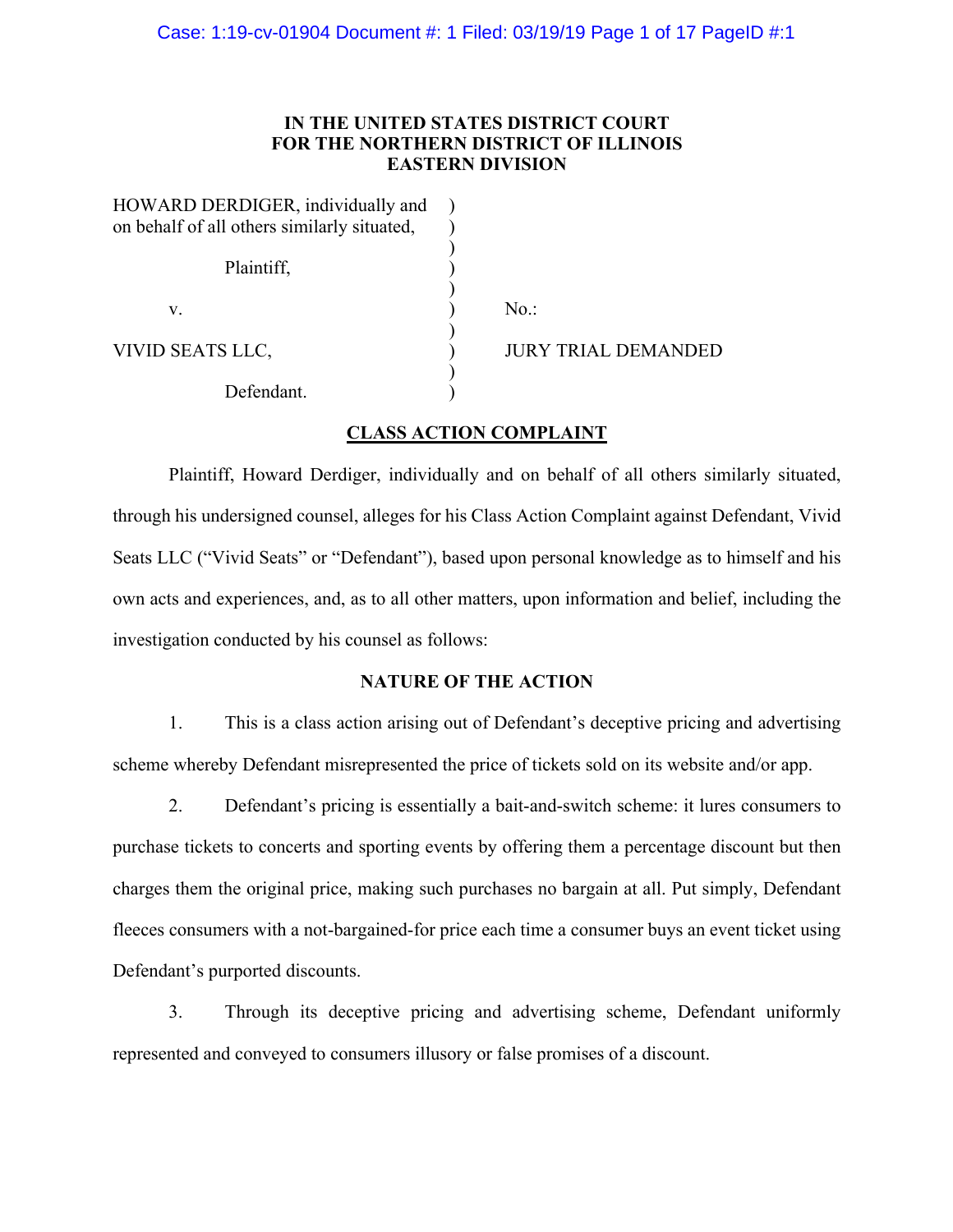## **IN THE UNITED STATES DISTRICT COURT FOR THE NORTHERN DISTRICT OF ILLINOIS EASTERN DIVISION**

| HOWARD DERDIGER, individually and           |                     |
|---------------------------------------------|---------------------|
| on behalf of all others similarly situated, |                     |
|                                             |                     |
| Plaintiff,                                  |                     |
|                                             |                     |
| V.                                          | $No.$ :             |
| VIVID SEATS LLC,                            | JURY TRIAL DEMANDED |
| Defendant.                                  |                     |

## **CLASS ACTION COMPLAINT**

Plaintiff, Howard Derdiger, individually and on behalf of all others similarly situated, through his undersigned counsel, alleges for his Class Action Complaint against Defendant, Vivid Seats LLC ("Vivid Seats" or "Defendant"), based upon personal knowledge as to himself and his own acts and experiences, and, as to all other matters, upon information and belief, including the investigation conducted by his counsel as follows:

## **NATURE OF THE ACTION**

1. This is a class action arising out of Defendant's deceptive pricing and advertising scheme whereby Defendant misrepresented the price of tickets sold on its website and/or app.

2. Defendant's pricing is essentially a bait-and-switch scheme: it lures consumers to purchase tickets to concerts and sporting events by offering them a percentage discount but then charges them the original price, making such purchases no bargain at all. Put simply, Defendant fleeces consumers with a not-bargained-for price each time a consumer buys an event ticket using Defendant's purported discounts.

3. Through its deceptive pricing and advertising scheme, Defendant uniformly represented and conveyed to consumers illusory or false promises of a discount.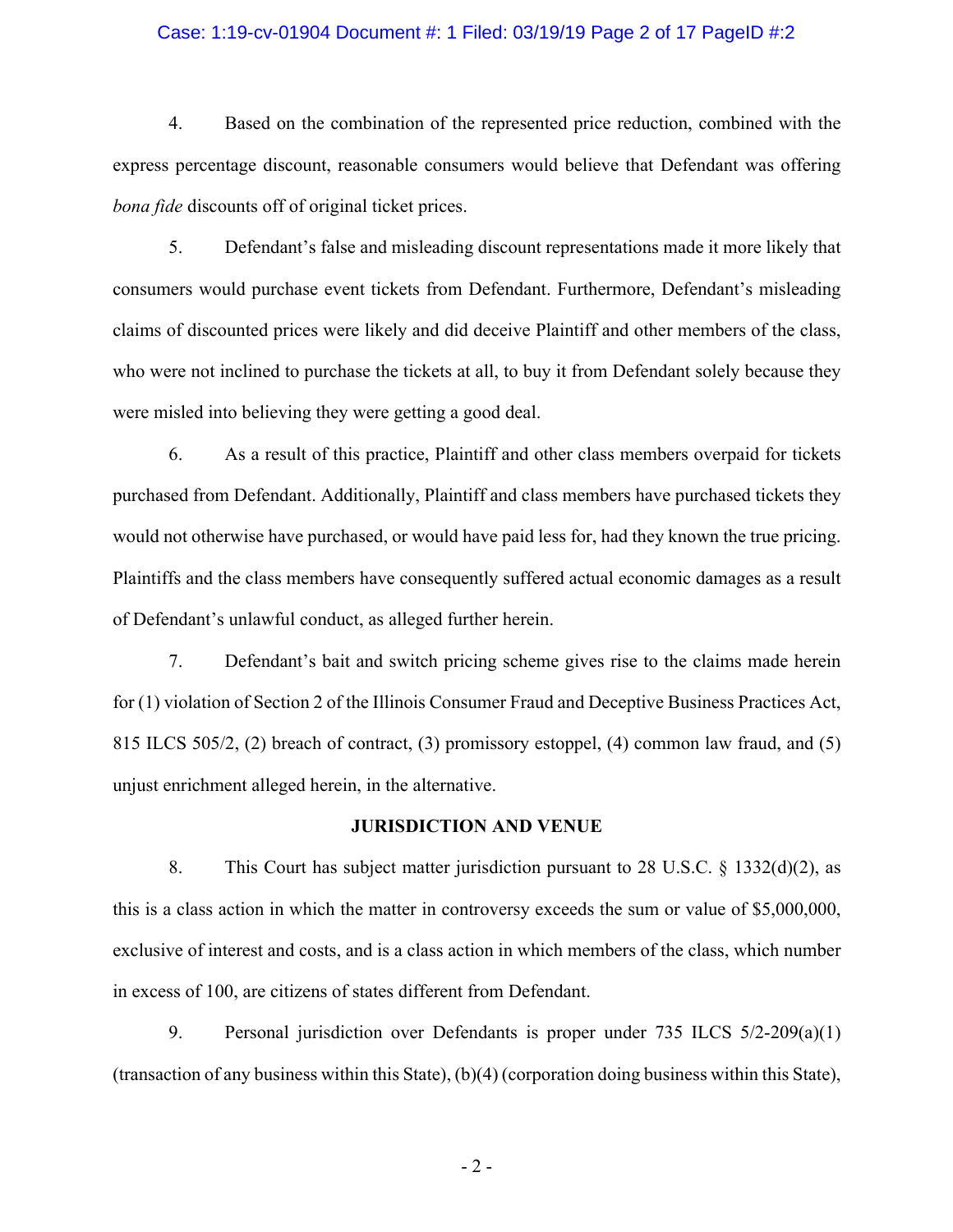#### Case: 1:19-cv-01904 Document #: 1 Filed: 03/19/19 Page 2 of 17 PageID #:2

4. Based on the combination of the represented price reduction, combined with the express percentage discount, reasonable consumers would believe that Defendant was offering *bona fide* discounts off of original ticket prices.

5. Defendant's false and misleading discount representations made it more likely that consumers would purchase event tickets from Defendant. Furthermore, Defendant's misleading claims of discounted prices were likely and did deceive Plaintiff and other members of the class, who were not inclined to purchase the tickets at all, to buy it from Defendant solely because they were misled into believing they were getting a good deal.

6. As a result of this practice, Plaintiff and other class members overpaid for tickets purchased from Defendant. Additionally, Plaintiff and class members have purchased tickets they would not otherwise have purchased, or would have paid less for, had they known the true pricing. Plaintiffs and the class members have consequently suffered actual economic damages as a result of Defendant's unlawful conduct, as alleged further herein.

7. Defendant's bait and switch pricing scheme gives rise to the claims made herein for (1) violation of Section 2 of the Illinois Consumer Fraud and Deceptive Business Practices Act, 815 ILCS 505/2, (2) breach of contract, (3) promissory estoppel, (4) common law fraud, and (5) unjust enrichment alleged herein, in the alternative.

#### **JURISDICTION AND VENUE**

8. This Court has subject matter jurisdiction pursuant to 28 U.S.C. § 1332(d)(2), as this is a class action in which the matter in controversy exceeds the sum or value of \$5,000,000, exclusive of interest and costs, and is a class action in which members of the class, which number in excess of 100, are citizens of states different from Defendant.

9. Personal jurisdiction over Defendants is proper under 735 ILCS 5/2-209(a)(1) (transaction of any business within this State), (b)(4) (corporation doing business within this State),

 $-2-$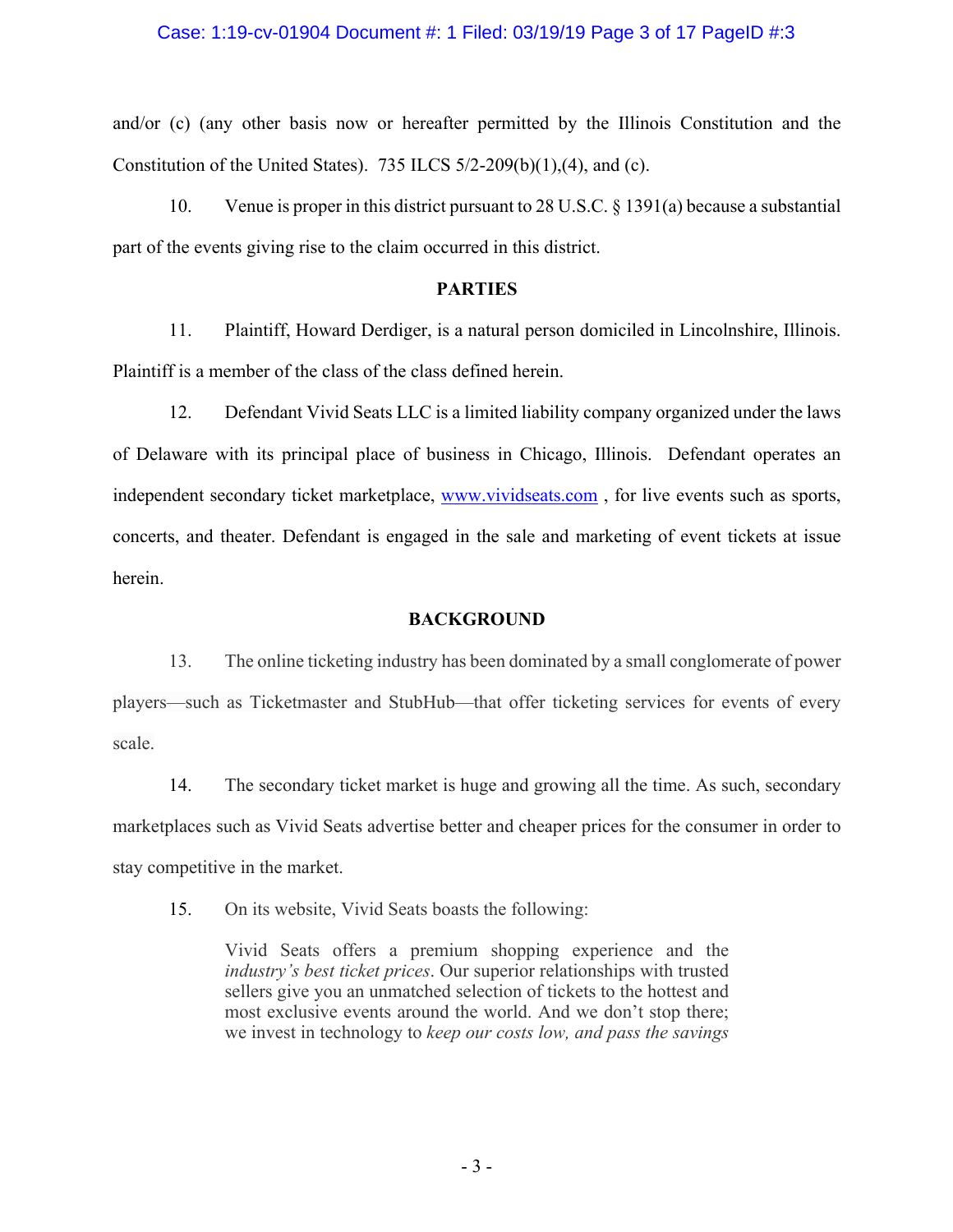#### Case: 1:19-cv-01904 Document #: 1 Filed: 03/19/19 Page 3 of 17 PageID #:3

and/or (c) (any other basis now or hereafter permitted by the Illinois Constitution and the Constitution of the United States). 735 ILCS  $5/2-209(b)(1)$ , (4), and (c).

10. Venue is proper in this district pursuant to 28 U.S.C. § 1391(a) because a substantial part of the events giving rise to the claim occurred in this district.

## **PARTIES**

11. Plaintiff, Howard Derdiger, is a natural person domiciled in Lincolnshire, Illinois. Plaintiff is a member of the class of the class defined herein.

12. Defendant Vivid Seats LLC is a limited liability company organized under the laws of Delaware with its principal place of business in Chicago, Illinois. Defendant operates an independent secondary ticket marketplace, www.vividseats.com, for live events such as sports, concerts, and theater. Defendant is engaged in the sale and marketing of event tickets at issue herein.

## **BACKGROUND**

13. The online ticketing industry has been dominated by a small conglomerate of power players—such as Ticketmaster and StubHub—that offer ticketing services for events of every scale.

14. The secondary ticket market is huge and growing all the time. As such, secondary marketplaces such as Vivid Seats advertise better and cheaper prices for the consumer in order to stay competitive in the market.

15. On its website, Vivid Seats boasts the following:

Vivid Seats offers a premium shopping experience and the *industry's best ticket prices*. Our superior relationships with trusted sellers give you an unmatched selection of tickets to the hottest and most exclusive events around the world. And we don't stop there; we invest in technology to *keep our costs low, and pass the savings*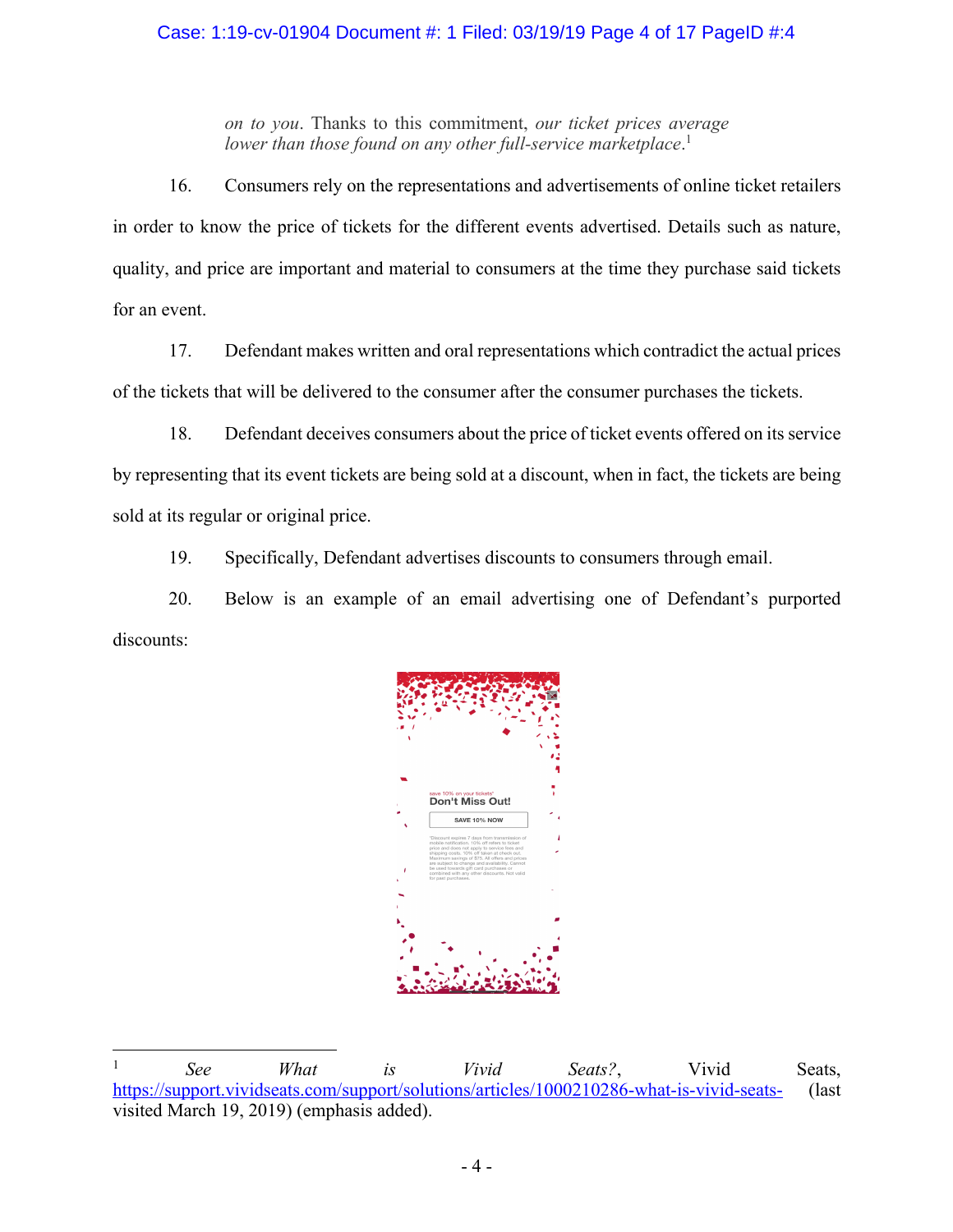# Case: 1:19-cv-01904 Document #: 1 Filed: 03/19/19 Page 4 of 17 PageID #:4

*on to you*. Thanks to this commitment, *our ticket prices average*  lower than those found on any other full-service marketplace.<sup>1</sup>

16. Consumers rely on the representations and advertisements of online ticket retailers in order to know the price of tickets for the different events advertised. Details such as nature, quality, and price are important and material to consumers at the time they purchase said tickets for an event.

17. Defendant makes written and oral representations which contradict the actual prices of the tickets that will be delivered to the consumer after the consumer purchases the tickets.

18. Defendant deceives consumers about the price of ticket events offered on its service by representing that its event tickets are being sold at a discount, when in fact, the tickets are being sold at its regular or original price.

19. Specifically, Defendant advertises discounts to consumers through email.

20. Below is an example of an email advertising one of Defendant's purported discounts:



 <sup>1</sup> *See What is Vivid Seats?*, Vivid Seats, https://support.vividseats.com/support/solutions/articles/1000210286-what-is-vivid-seats- (last visited March 19, 2019) (emphasis added).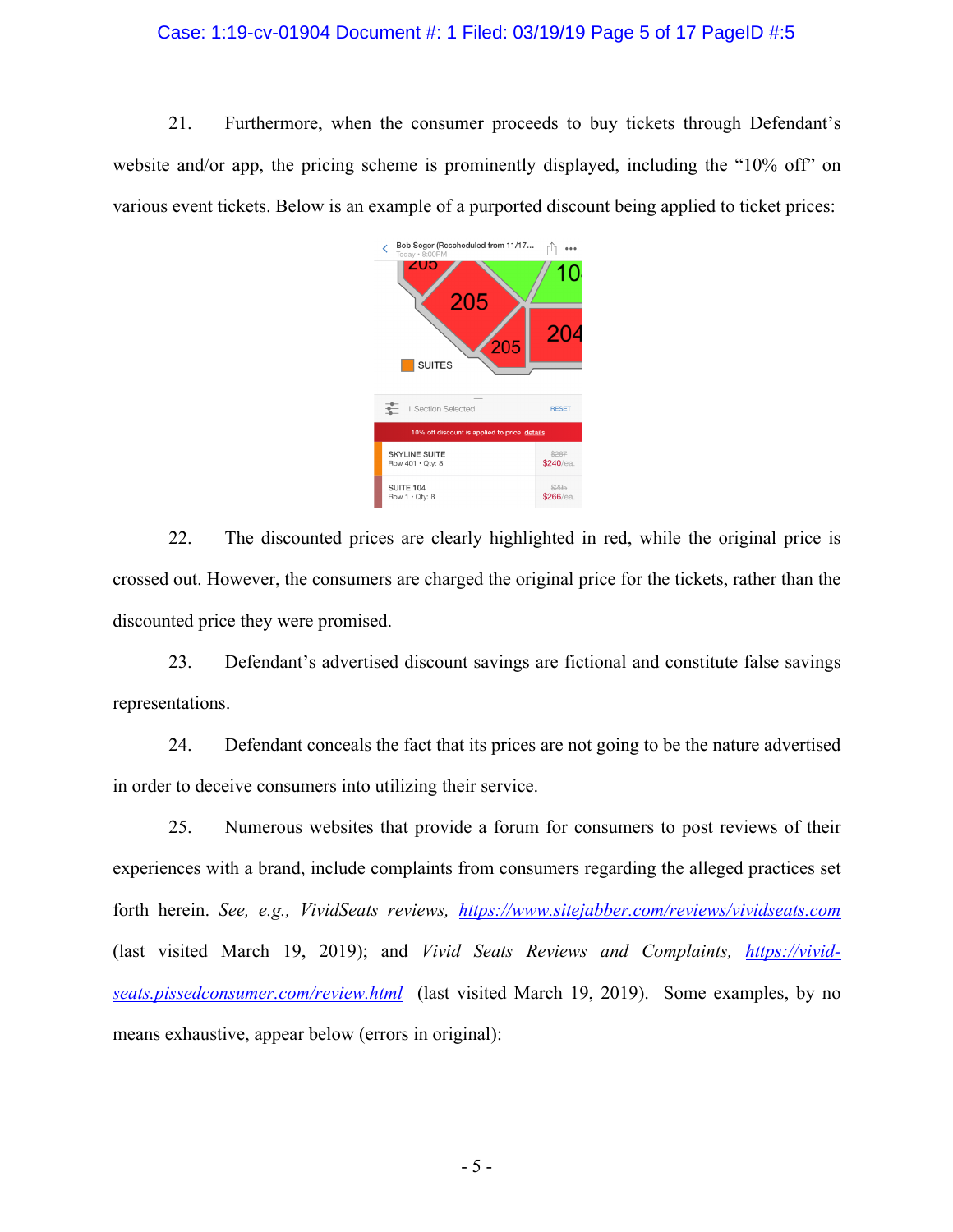#### Case: 1:19-cv-01904 Document #: 1 Filed: 03/19/19 Page 5 of 17 PageID #:5

21. Furthermore, when the consumer proceeds to buy tickets through Defendant's website and/or app, the pricing scheme is prominently displayed, including the "10% off" on various event tickets. Below is an example of a purported discount being applied to ticket prices:



22. The discounted prices are clearly highlighted in red, while the original price is crossed out. However, the consumers are charged the original price for the tickets, rather than the discounted price they were promised.

23. Defendant's advertised discount savings are fictional and constitute false savings representations.

24. Defendant conceals the fact that its prices are not going to be the nature advertised in order to deceive consumers into utilizing their service.

25. Numerous websites that provide a forum for consumers to post reviews of their experiences with a brand, include complaints from consumers regarding the alleged practices set forth herein. *See, e.g., VividSeats reviews, https://www.sitejabber.com/reviews/vividseats.com* (last visited March 19, 2019); and *Vivid Seats Reviews and Complaints, https://vividseats.pissedconsumer.com/review.html* (last visited March 19, 2019). Some examples, by no means exhaustive, appear below (errors in original):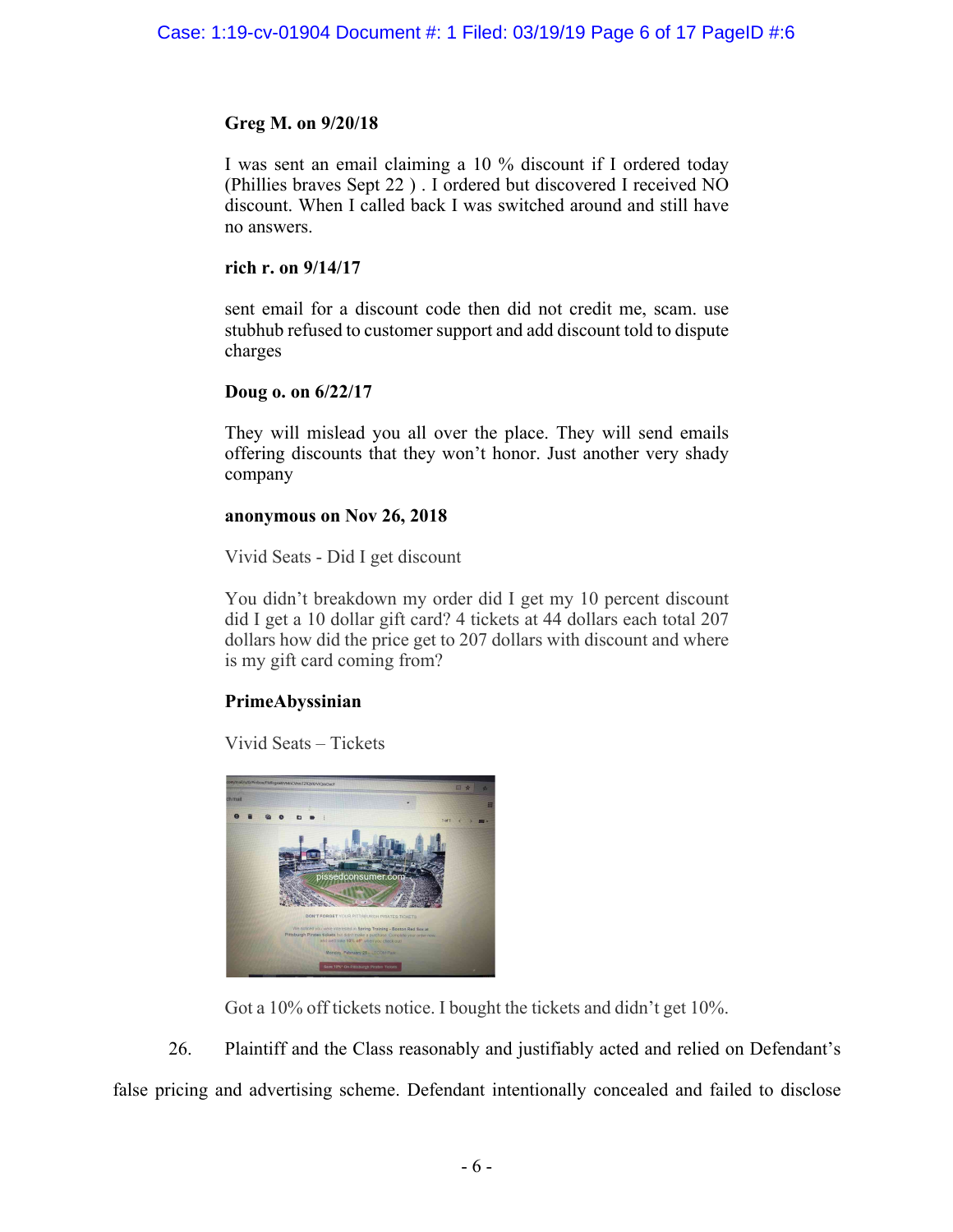# **Greg M. on 9/20/18**

I was sent an email claiming a 10 % discount if I ordered today (Phillies braves Sept 22 ) . I ordered but discovered I received NO discount. When I called back I was switched around and still have no answers.

# **rich r. on 9/14/17**

sent email for a discount code then did not credit me, scam. use stubhub refused to customer support and add discount told to dispute charges

# **Doug o. on 6/22/17**

They will mislead you all over the place. They will send emails offering discounts that they won't honor. Just another very shady company

# **anonymous on Nov 26, 2018**

Vivid Seats - Did I get discount

You didn't breakdown my order did I get my 10 percent discount did I get a 10 dollar gift card? 4 tickets at 44 dollars each total 207 dollars how did the price get to 207 dollars with discount and where is my gift card coming from?

# **PrimeAbyssinian**

Vivid Seats – Tickets



Got a 10% off tickets notice. I bought the tickets and didn't get 10%.

26. Plaintiff and the Class reasonably and justifiably acted and relied on Defendant's false pricing and advertising scheme. Defendant intentionally concealed and failed to disclose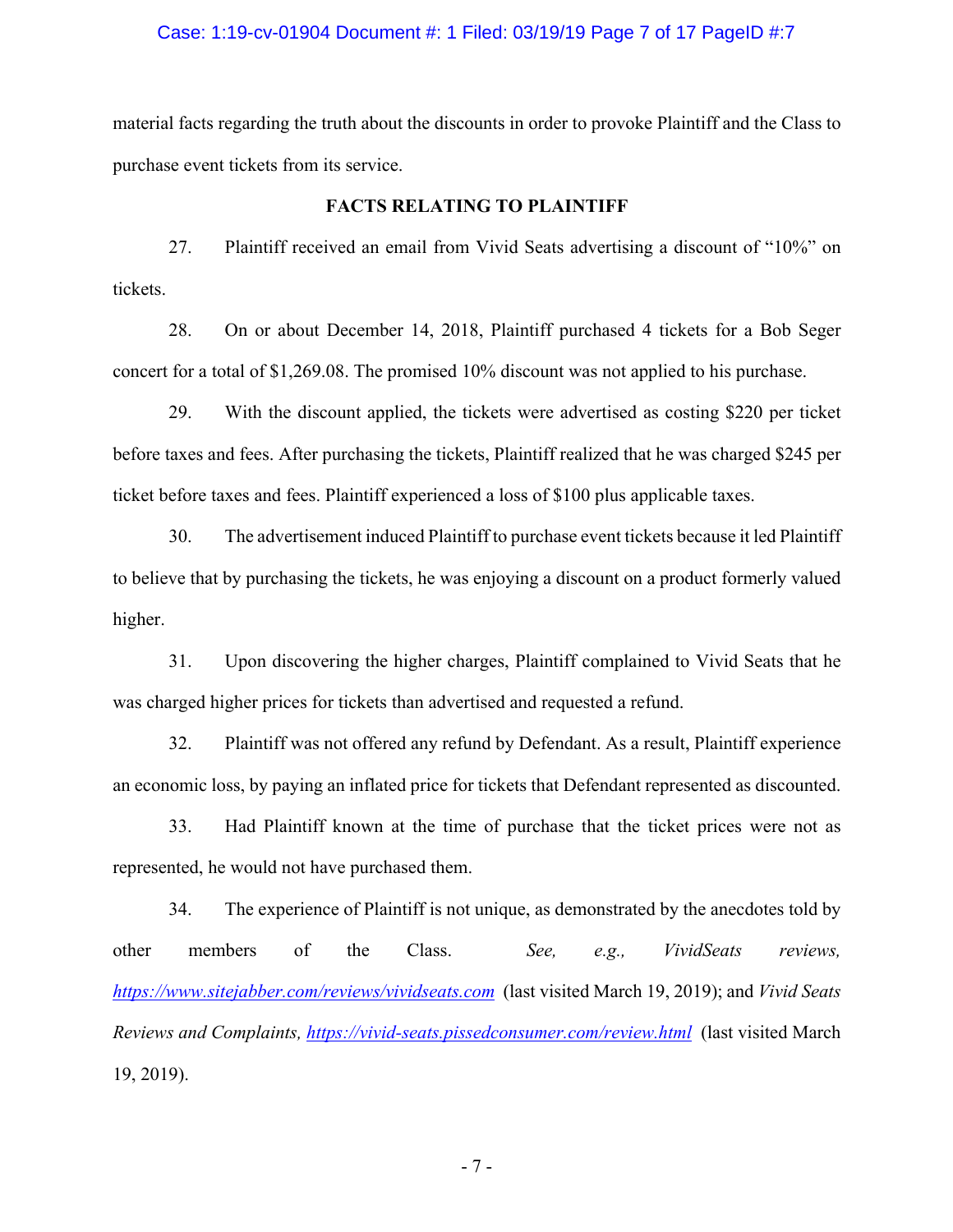#### Case: 1:19-cv-01904 Document #: 1 Filed: 03/19/19 Page 7 of 17 PageID #:7

material facts regarding the truth about the discounts in order to provoke Plaintiff and the Class to purchase event tickets from its service.

## **FACTS RELATING TO PLAINTIFF**

27. Plaintiff received an email from Vivid Seats advertising a discount of "10%" on tickets.

28. On or about December 14, 2018, Plaintiff purchased 4 tickets for a Bob Seger concert for a total of \$1,269.08. The promised 10% discount was not applied to his purchase.

29. With the discount applied, the tickets were advertised as costing \$220 per ticket before taxes and fees. After purchasing the tickets, Plaintiff realized that he was charged \$245 per ticket before taxes and fees. Plaintiff experienced a loss of \$100 plus applicable taxes.

30. The advertisement induced Plaintiff to purchase event tickets because it led Plaintiff to believe that by purchasing the tickets, he was enjoying a discount on a product formerly valued higher.

31. Upon discovering the higher charges, Plaintiff complained to Vivid Seats that he was charged higher prices for tickets than advertised and requested a refund.

32. Plaintiff was not offered any refund by Defendant. As a result, Plaintiff experience an economic loss, by paying an inflated price for tickets that Defendant represented as discounted.

33. Had Plaintiff known at the time of purchase that the ticket prices were not as represented, he would not have purchased them.

34. The experience of Plaintiff is not unique, as demonstrated by the anecdotes told by other members of the Class. *See, e.g., VividSeats reviews, https://www.sitejabber.com/reviews/vividseats.com* (last visited March 19, 2019); and *Vivid Seats Reviews and Complaints, https://vivid-seats.pissedconsumer.com/review.html* (last visited March 19, 2019).

- 7 -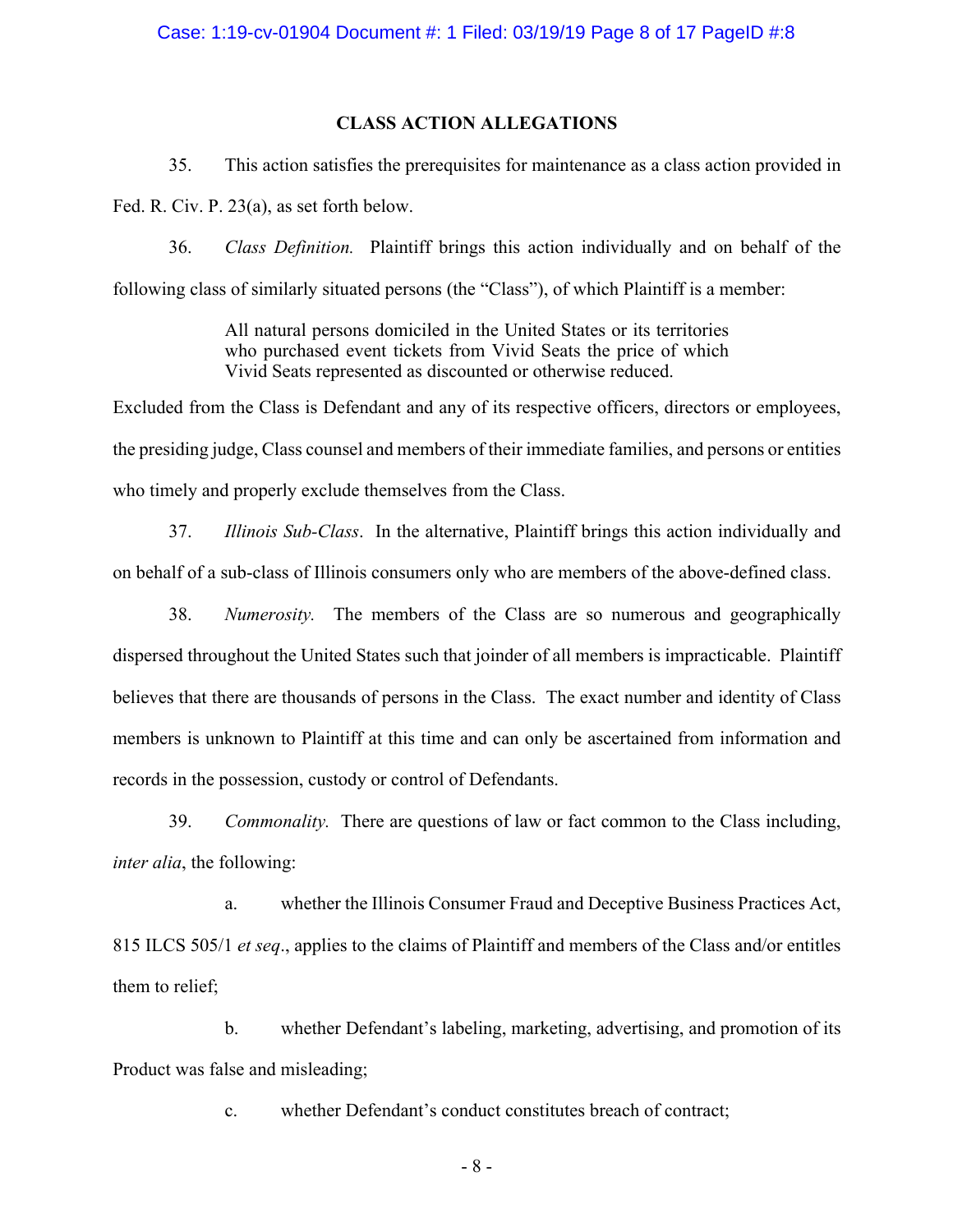#### Case: 1:19-cv-01904 Document #: 1 Filed: 03/19/19 Page 8 of 17 PageID #:8

# **CLASS ACTION ALLEGATIONS**

35. This action satisfies the prerequisites for maintenance as a class action provided in

Fed. R. Civ. P. 23(a), as set forth below.

36. *Class Definition.* Plaintiff brings this action individually and on behalf of the following class of similarly situated persons (the "Class"), of which Plaintiff is a member:

> All natural persons domiciled in the United States or its territories who purchased event tickets from Vivid Seats the price of which Vivid Seats represented as discounted or otherwise reduced.

Excluded from the Class is Defendant and any of its respective officers, directors or employees, the presiding judge, Class counsel and members of their immediate families, and persons or entities who timely and properly exclude themselves from the Class.

37. *Illinois Sub-Class*. In the alternative, Plaintiff brings this action individually and on behalf of a sub-class of Illinois consumers only who are members of the above-defined class.

38. *Numerosity.* The members of the Class are so numerous and geographically dispersed throughout the United States such that joinder of all members is impracticable. Plaintiff believes that there are thousands of persons in the Class. The exact number and identity of Class members is unknown to Plaintiff at this time and can only be ascertained from information and records in the possession, custody or control of Defendants.

39. *Commonality.* There are questions of law or fact common to the Class including, *inter alia*, the following:

a. whether the Illinois Consumer Fraud and Deceptive Business Practices Act, 815 ILCS 505/1 *et seq*., applies to the claims of Plaintiff and members of the Class and/or entitles them to relief;

b. whether Defendant's labeling, marketing, advertising, and promotion of its Product was false and misleading;

c. whether Defendant's conduct constitutes breach of contract;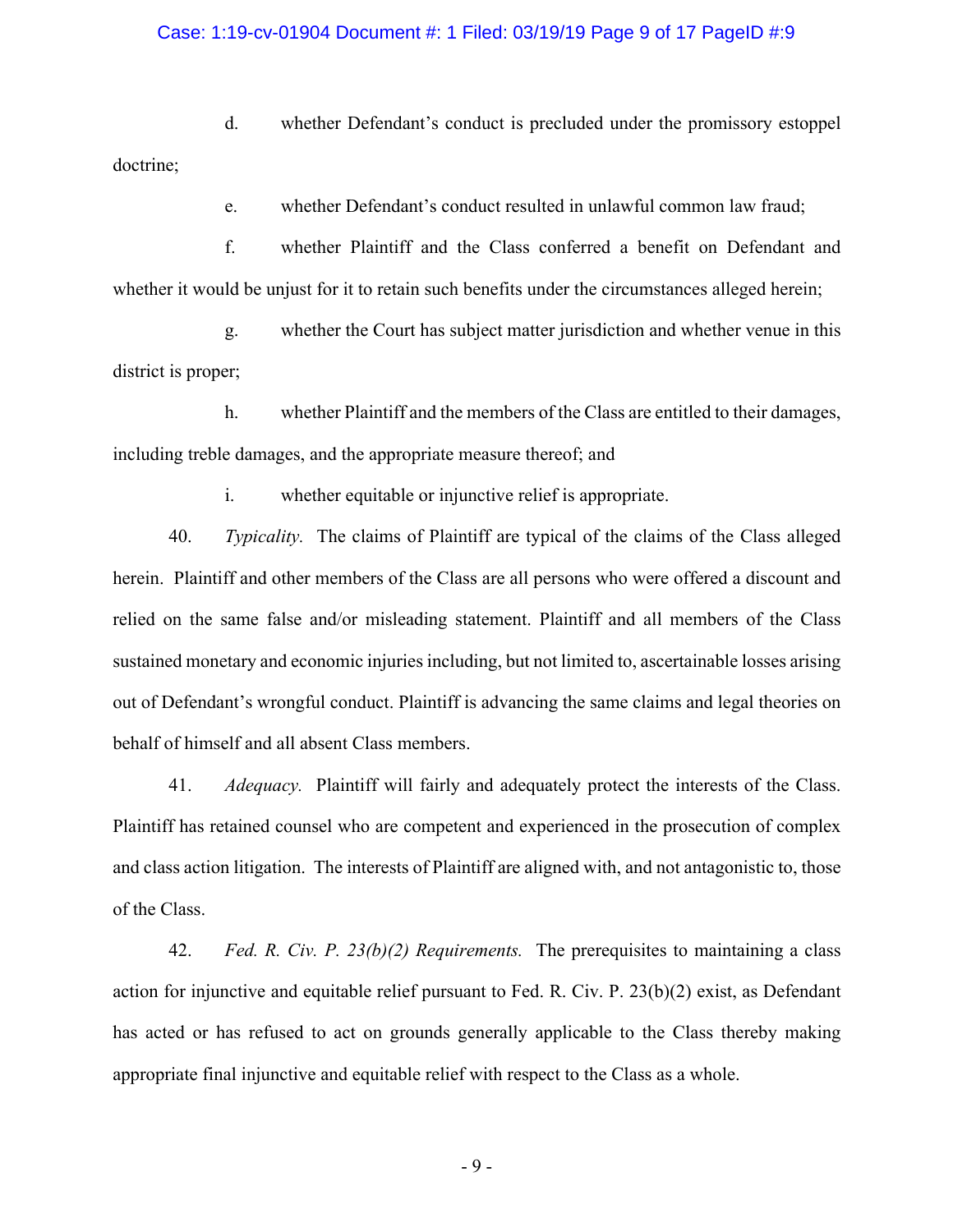#### Case: 1:19-cv-01904 Document #: 1 Filed: 03/19/19 Page 9 of 17 PageID #:9

d. whether Defendant's conduct is precluded under the promissory estoppel doctrine;

e. whether Defendant's conduct resulted in unlawful common law fraud;

f. whether Plaintiff and the Class conferred a benefit on Defendant and whether it would be unjust for it to retain such benefits under the circumstances alleged herein;

g. whether the Court has subject matter jurisdiction and whether venue in this district is proper;

h. whether Plaintiff and the members of the Class are entitled to their damages, including treble damages, and the appropriate measure thereof; and

i. whether equitable or injunctive relief is appropriate.

40. *Typicality.* The claims of Plaintiff are typical of the claims of the Class alleged herein. Plaintiff and other members of the Class are all persons who were offered a discount and relied on the same false and/or misleading statement. Plaintiff and all members of the Class sustained monetary and economic injuries including, but not limited to, ascertainable losses arising out of Defendant's wrongful conduct. Plaintiff is advancing the same claims and legal theories on behalf of himself and all absent Class members.

41. *Adequacy.* Plaintiff will fairly and adequately protect the interests of the Class. Plaintiff has retained counsel who are competent and experienced in the prosecution of complex and class action litigation. The interests of Plaintiff are aligned with, and not antagonistic to, those of the Class.

42. *Fed. R. Civ. P. 23(b)(2) Requirements.* The prerequisites to maintaining a class action for injunctive and equitable relief pursuant to Fed. R. Civ. P. 23(b)(2) exist, as Defendant has acted or has refused to act on grounds generally applicable to the Class thereby making appropriate final injunctive and equitable relief with respect to the Class as a whole.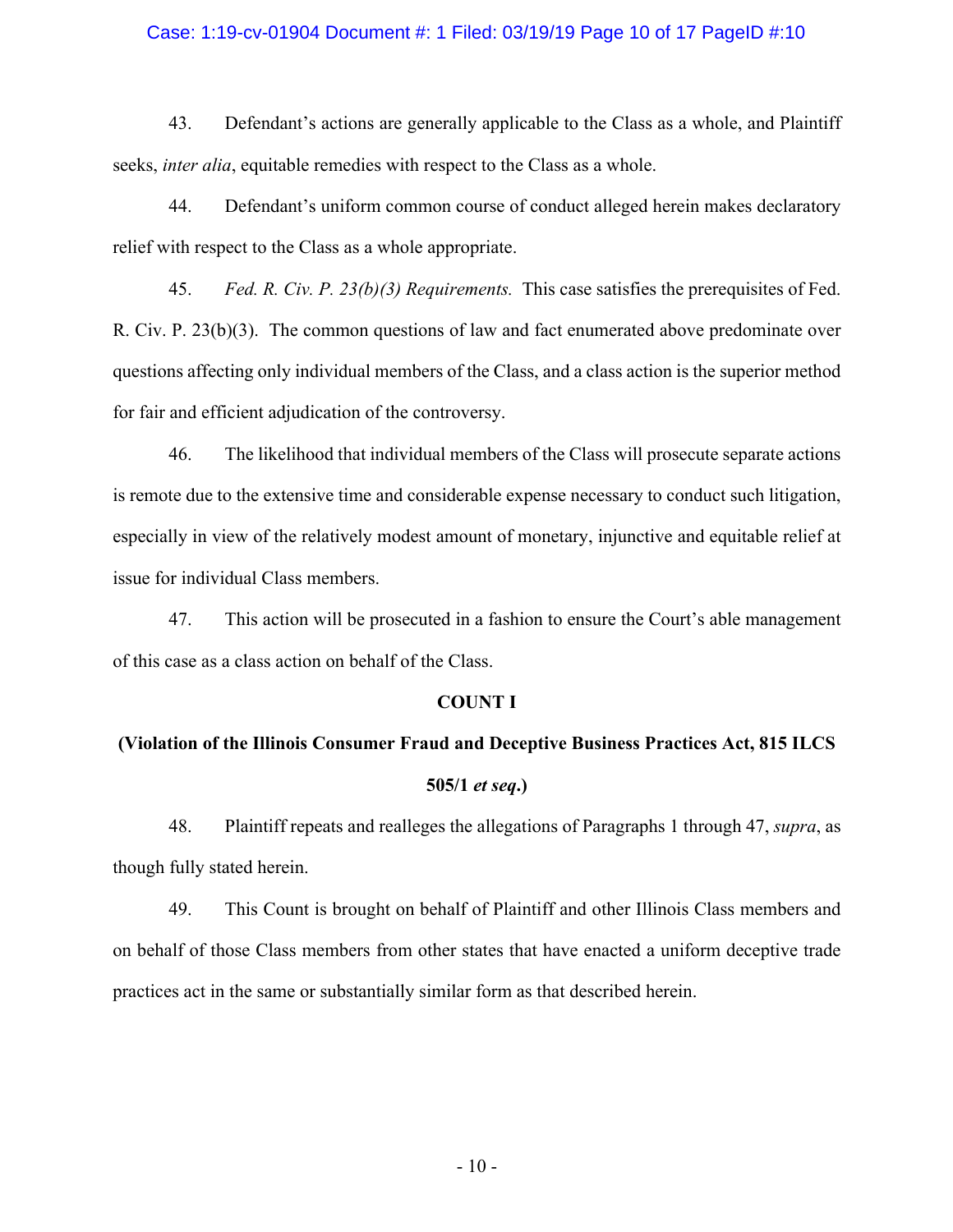#### Case: 1:19-cv-01904 Document #: 1 Filed: 03/19/19 Page 10 of 17 PageID #:10

43. Defendant's actions are generally applicable to the Class as a whole, and Plaintiff seeks, *inter alia*, equitable remedies with respect to the Class as a whole.

44. Defendant's uniform common course of conduct alleged herein makes declaratory relief with respect to the Class as a whole appropriate.

45. *Fed. R. Civ. P. 23(b)(3) Requirements.* This case satisfies the prerequisites of Fed. R. Civ. P. 23(b)(3). The common questions of law and fact enumerated above predominate over questions affecting only individual members of the Class, and a class action is the superior method for fair and efficient adjudication of the controversy.

46. The likelihood that individual members of the Class will prosecute separate actions is remote due to the extensive time and considerable expense necessary to conduct such litigation, especially in view of the relatively modest amount of monetary, injunctive and equitable relief at issue for individual Class members.

47. This action will be prosecuted in a fashion to ensure the Court's able management of this case as a class action on behalf of the Class.

#### **COUNT I**

# **(Violation of the Illinois Consumer Fraud and Deceptive Business Practices Act, 815 ILCS 505/1** *et seq***.)**

48. Plaintiff repeats and realleges the allegations of Paragraphs 1 through 47, *supra*, as though fully stated herein.

49. This Count is brought on behalf of Plaintiff and other Illinois Class members and on behalf of those Class members from other states that have enacted a uniform deceptive trade practices act in the same or substantially similar form as that described herein.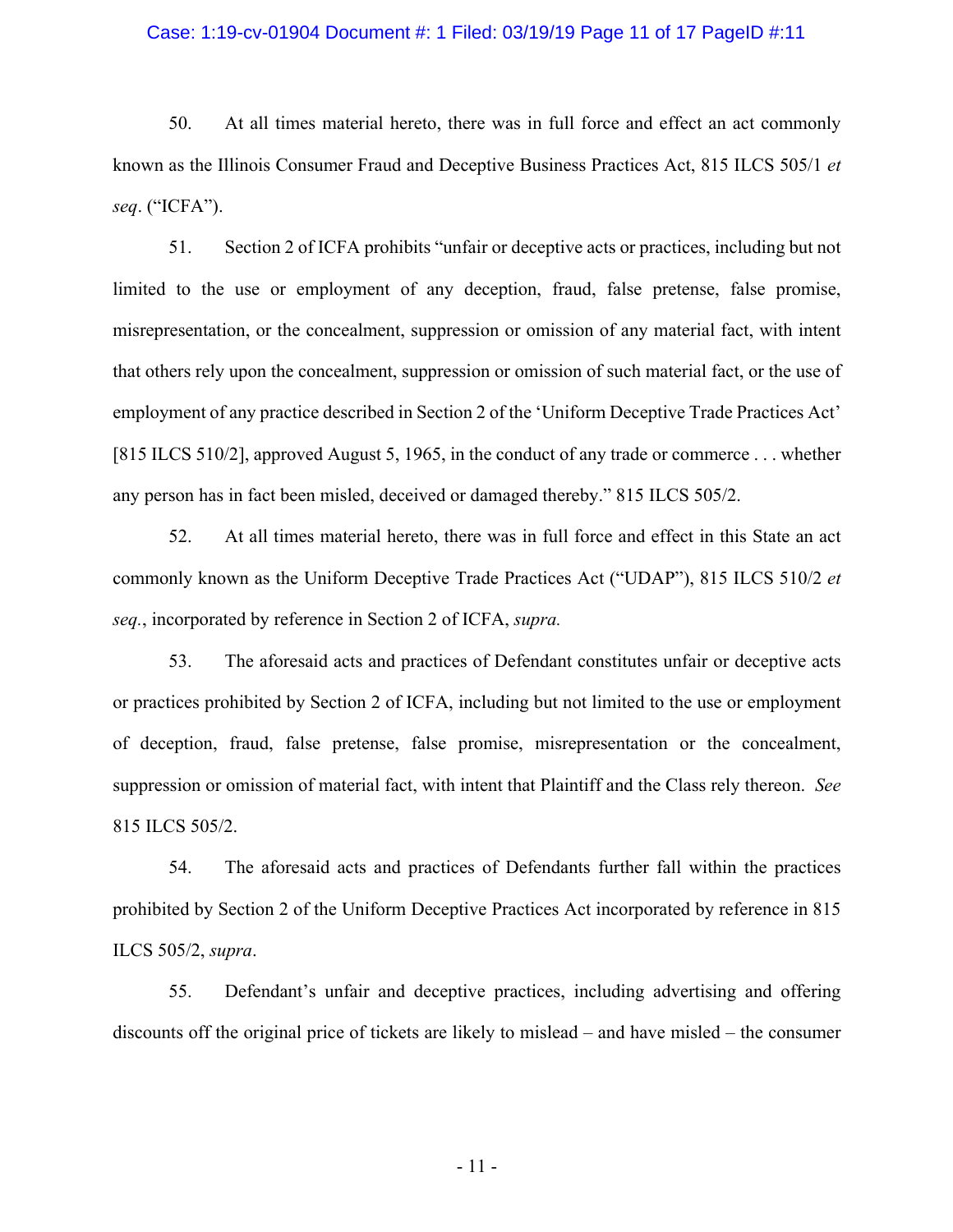#### Case: 1:19-cv-01904 Document #: 1 Filed: 03/19/19 Page 11 of 17 PageID #:11

50. At all times material hereto, there was in full force and effect an act commonly known as the Illinois Consumer Fraud and Deceptive Business Practices Act, 815 ILCS 505/1 *et seq*. ("ICFA").

51. Section 2 of ICFA prohibits "unfair or deceptive acts or practices, including but not limited to the use or employment of any deception, fraud, false pretense, false promise, misrepresentation, or the concealment, suppression or omission of any material fact, with intent that others rely upon the concealment, suppression or omission of such material fact, or the use of employment of any practice described in Section 2 of the 'Uniform Deceptive Trade Practices Act' [815 ILCS 510/2], approved August 5, 1965, in the conduct of any trade or commerce . . . whether any person has in fact been misled, deceived or damaged thereby." 815 ILCS 505/2.

52. At all times material hereto, there was in full force and effect in this State an act commonly known as the Uniform Deceptive Trade Practices Act ("UDAP"), 815 ILCS 510/2 *et seq.*, incorporated by reference in Section 2 of ICFA, *supra.*

53. The aforesaid acts and practices of Defendant constitutes unfair or deceptive acts or practices prohibited by Section 2 of ICFA, including but not limited to the use or employment of deception, fraud, false pretense, false promise, misrepresentation or the concealment, suppression or omission of material fact, with intent that Plaintiff and the Class rely thereon. *See*  815 ILCS 505/2.

54. The aforesaid acts and practices of Defendants further fall within the practices prohibited by Section 2 of the Uniform Deceptive Practices Act incorporated by reference in 815 ILCS 505/2, *supra*.

55. Defendant's unfair and deceptive practices, including advertising and offering discounts off the original price of tickets are likely to mislead – and have misled – the consumer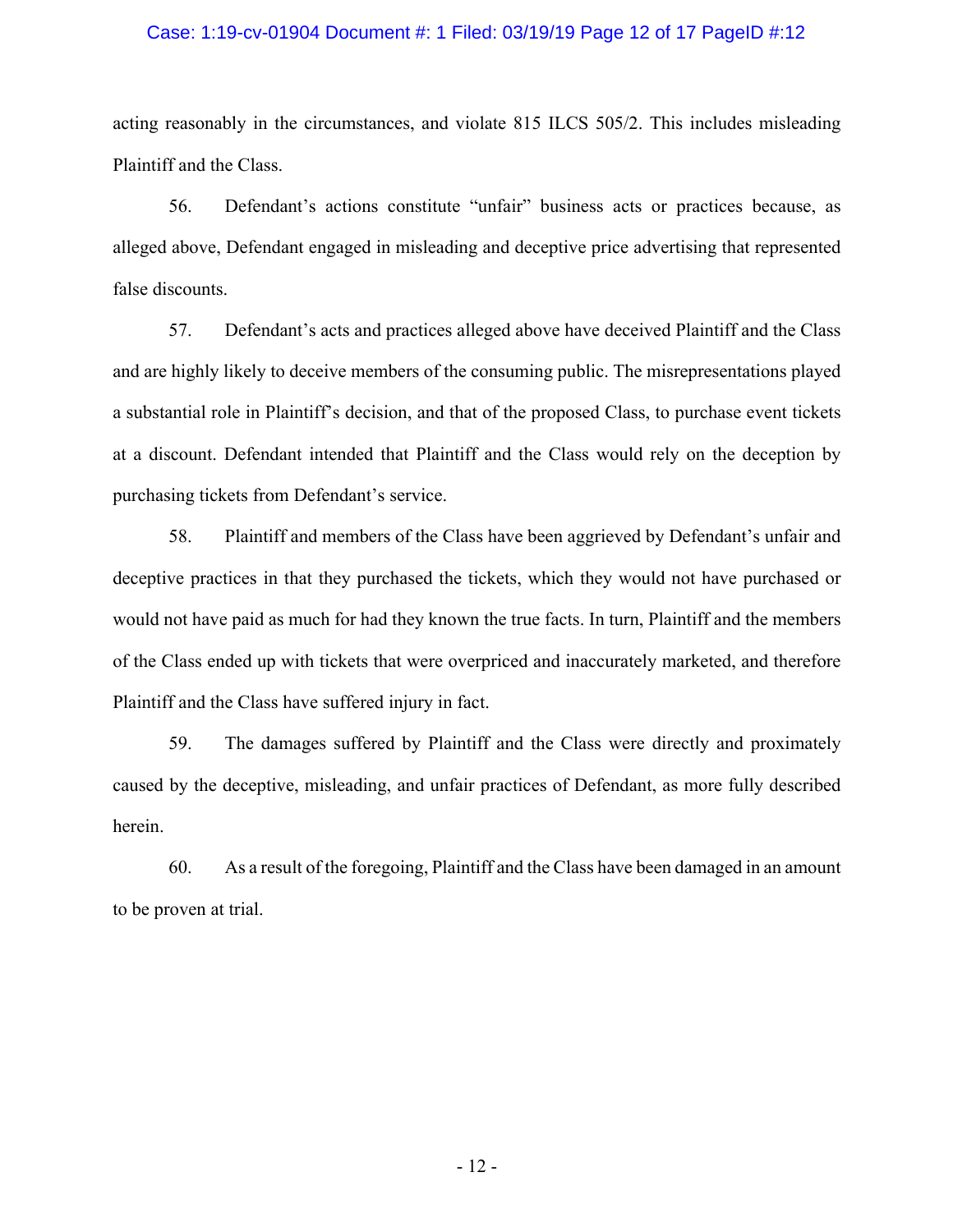#### Case: 1:19-cv-01904 Document #: 1 Filed: 03/19/19 Page 12 of 17 PageID #:12

acting reasonably in the circumstances, and violate 815 ILCS 505/2. This includes misleading Plaintiff and the Class.

56. Defendant's actions constitute "unfair" business acts or practices because, as alleged above, Defendant engaged in misleading and deceptive price advertising that represented false discounts.

57. Defendant's acts and practices alleged above have deceived Plaintiff and the Class and are highly likely to deceive members of the consuming public. The misrepresentations played a substantial role in Plaintiff's decision, and that of the proposed Class, to purchase event tickets at a discount. Defendant intended that Plaintiff and the Class would rely on the deception by purchasing tickets from Defendant's service.

58. Plaintiff and members of the Class have been aggrieved by Defendant's unfair and deceptive practices in that they purchased the tickets, which they would not have purchased or would not have paid as much for had they known the true facts. In turn, Plaintiff and the members of the Class ended up with tickets that were overpriced and inaccurately marketed, and therefore Plaintiff and the Class have suffered injury in fact.

59. The damages suffered by Plaintiff and the Class were directly and proximately caused by the deceptive, misleading, and unfair practices of Defendant, as more fully described herein.

60. As a result of the foregoing, Plaintiff and the Class have been damaged in an amount to be proven at trial.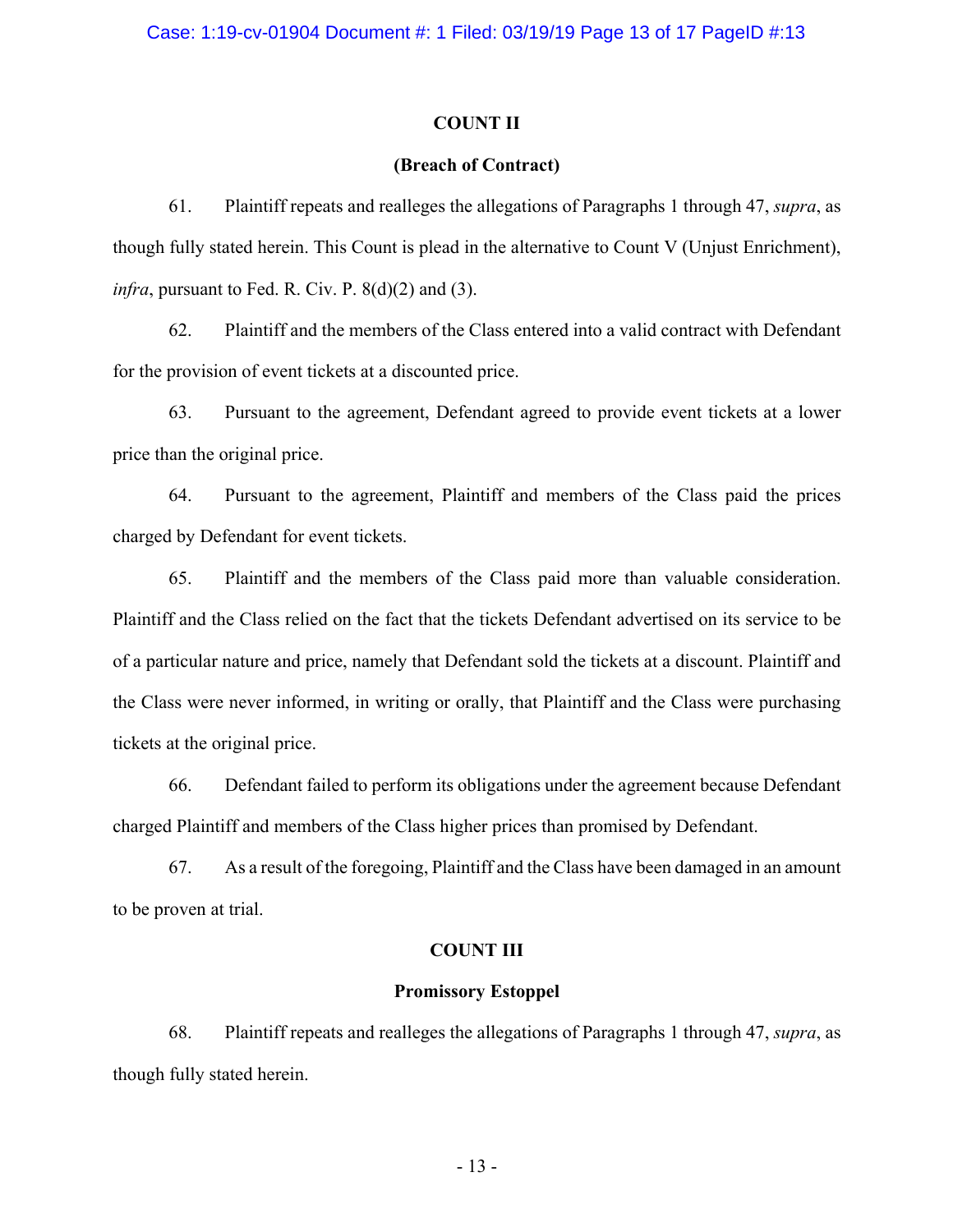#### **COUNT II**

#### **(Breach of Contract)**

61. Plaintiff repeats and realleges the allegations of Paragraphs 1 through 47, *supra*, as though fully stated herein. This Count is plead in the alternative to Count V (Unjust Enrichment), *infra*, pursuant to Fed. R. Civ. P.  $8(d)(2)$  and  $(3)$ .

62. Plaintiff and the members of the Class entered into a valid contract with Defendant for the provision of event tickets at a discounted price.

63. Pursuant to the agreement, Defendant agreed to provide event tickets at a lower price than the original price.

64. Pursuant to the agreement, Plaintiff and members of the Class paid the prices charged by Defendant for event tickets.

65. Plaintiff and the members of the Class paid more than valuable consideration. Plaintiff and the Class relied on the fact that the tickets Defendant advertised on its service to be of a particular nature and price, namely that Defendant sold the tickets at a discount. Plaintiff and the Class were never informed, in writing or orally, that Plaintiff and the Class were purchasing tickets at the original price.

66. Defendant failed to perform its obligations under the agreement because Defendant charged Plaintiff and members of the Class higher prices than promised by Defendant.

67. As a result of the foregoing, Plaintiff and the Class have been damaged in an amount to be proven at trial.

## **COUNT III**

## **Promissory Estoppel**

68. Plaintiff repeats and realleges the allegations of Paragraphs 1 through 47, *supra*, as though fully stated herein.

- 13 -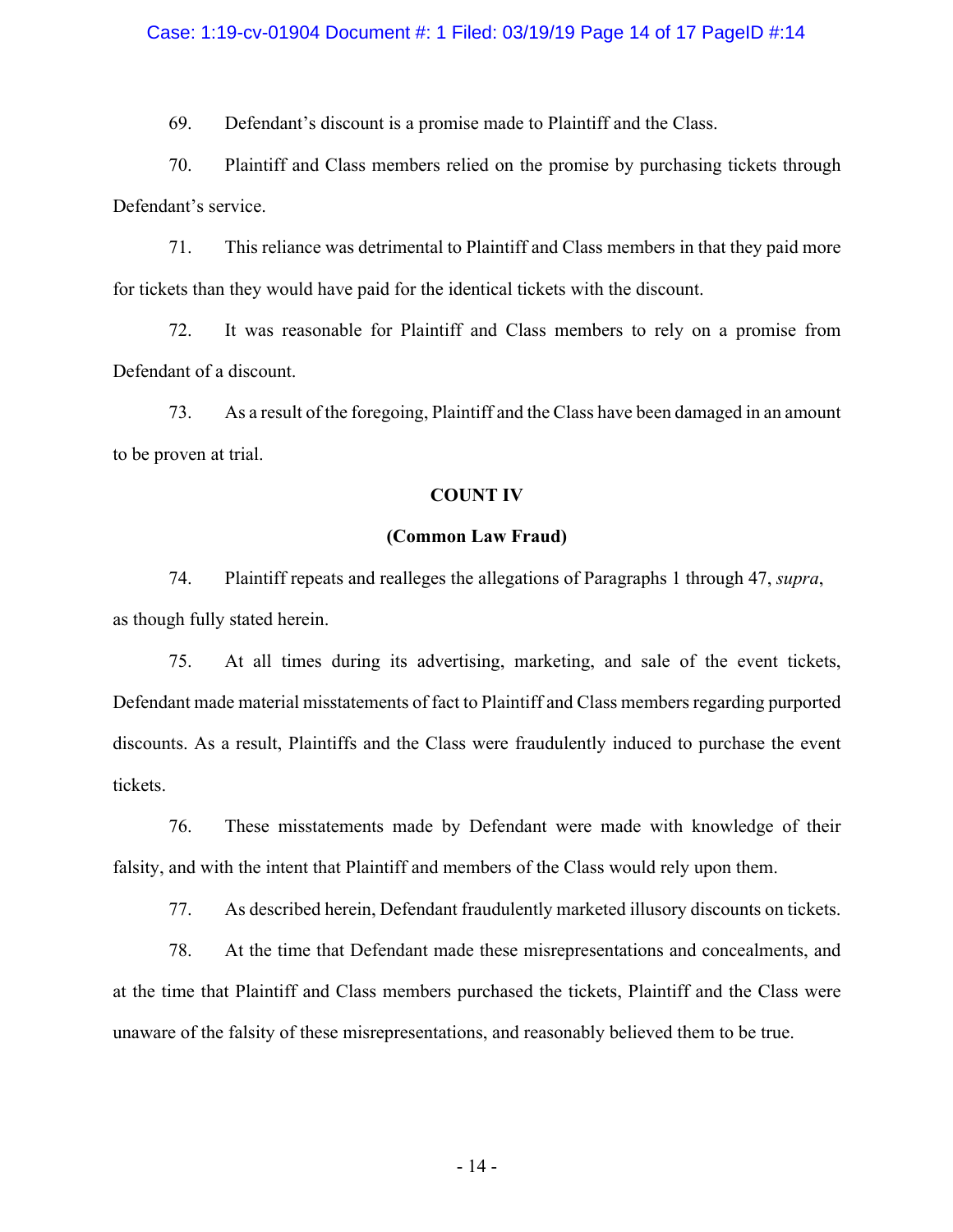#### Case: 1:19-cv-01904 Document #: 1 Filed: 03/19/19 Page 14 of 17 PageID #:14

69. Defendant's discount is a promise made to Plaintiff and the Class.

70. Plaintiff and Class members relied on the promise by purchasing tickets through Defendant's service.

71. This reliance was detrimental to Plaintiff and Class members in that they paid more for tickets than they would have paid for the identical tickets with the discount.

72. It was reasonable for Plaintiff and Class members to rely on a promise from Defendant of a discount.

73. As a result of the foregoing, Plaintiff and the Class have been damaged in an amount to be proven at trial.

#### **COUNT IV**

## **(Common Law Fraud)**

74. Plaintiff repeats and realleges the allegations of Paragraphs 1 through 47, *supra*, as though fully stated herein.

75. At all times during its advertising, marketing, and sale of the event tickets, Defendant made material misstatements of fact to Plaintiff and Class members regarding purported discounts. As a result, Plaintiffs and the Class were fraudulently induced to purchase the event tickets.

76. These misstatements made by Defendant were made with knowledge of their falsity, and with the intent that Plaintiff and members of the Class would rely upon them.

77. As described herein, Defendant fraudulently marketed illusory discounts on tickets.

78. At the time that Defendant made these misrepresentations and concealments, and at the time that Plaintiff and Class members purchased the tickets, Plaintiff and the Class were unaware of the falsity of these misrepresentations, and reasonably believed them to be true.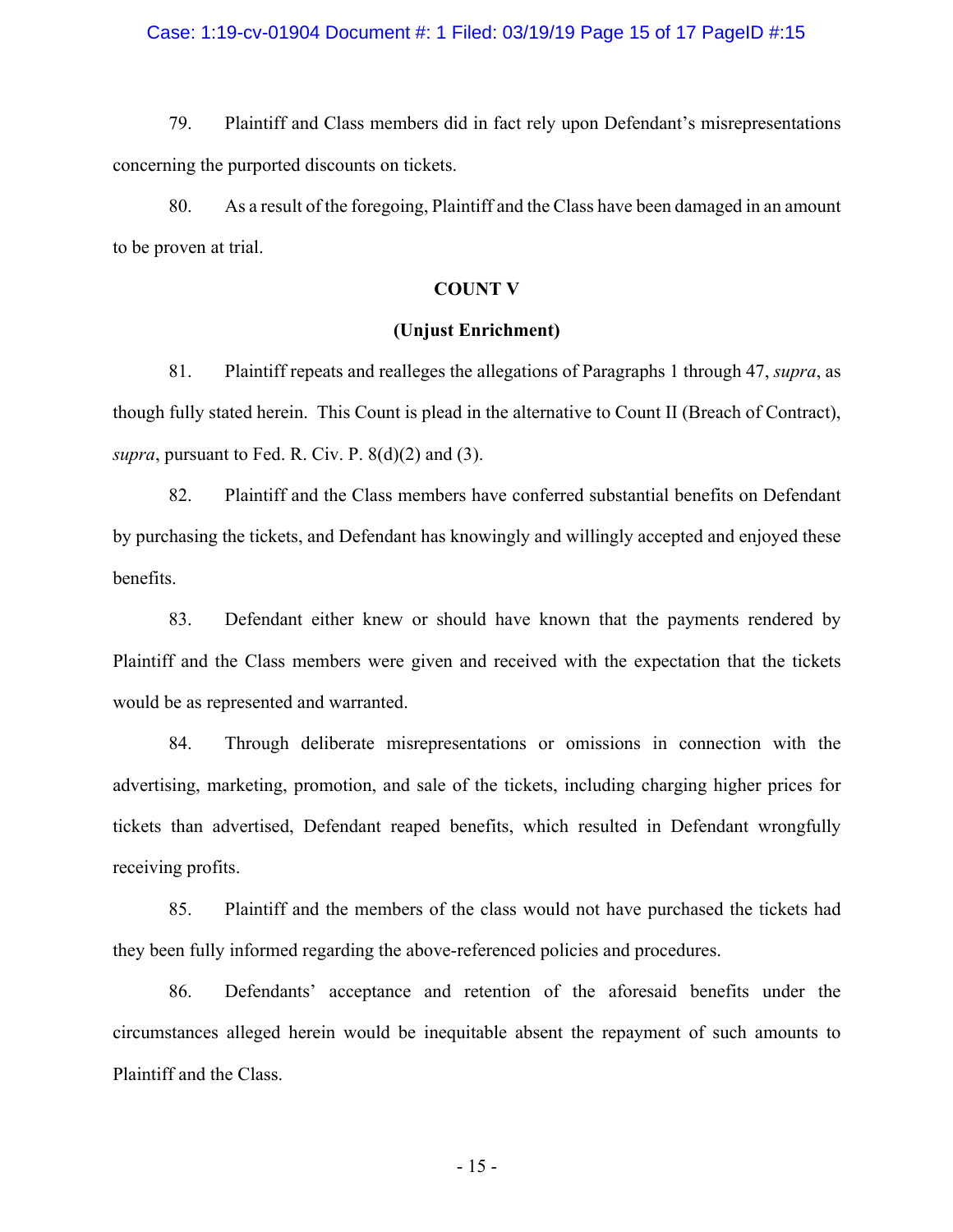#### Case: 1:19-cv-01904 Document #: 1 Filed: 03/19/19 Page 15 of 17 PageID #:15

79. Plaintiff and Class members did in fact rely upon Defendant's misrepresentations concerning the purported discounts on tickets.

80. As a result of the foregoing, Plaintiff and the Class have been damaged in an amount to be proven at trial.

#### **COUNT V**

## **(Unjust Enrichment)**

81. Plaintiff repeats and realleges the allegations of Paragraphs 1 through 47, *supra*, as though fully stated herein. This Count is plead in the alternative to Count II (Breach of Contract), *supra*, pursuant to Fed. R. Civ. P. 8(d)(2) and (3).

82. Plaintiff and the Class members have conferred substantial benefits on Defendant by purchasing the tickets, and Defendant has knowingly and willingly accepted and enjoyed these benefits.

83. Defendant either knew or should have known that the payments rendered by Plaintiff and the Class members were given and received with the expectation that the tickets would be as represented and warranted.

84. Through deliberate misrepresentations or omissions in connection with the advertising, marketing, promotion, and sale of the tickets, including charging higher prices for tickets than advertised, Defendant reaped benefits, which resulted in Defendant wrongfully receiving profits.

85. Plaintiff and the members of the class would not have purchased the tickets had they been fully informed regarding the above-referenced policies and procedures.

86. Defendants' acceptance and retention of the aforesaid benefits under the circumstances alleged herein would be inequitable absent the repayment of such amounts to Plaintiff and the Class.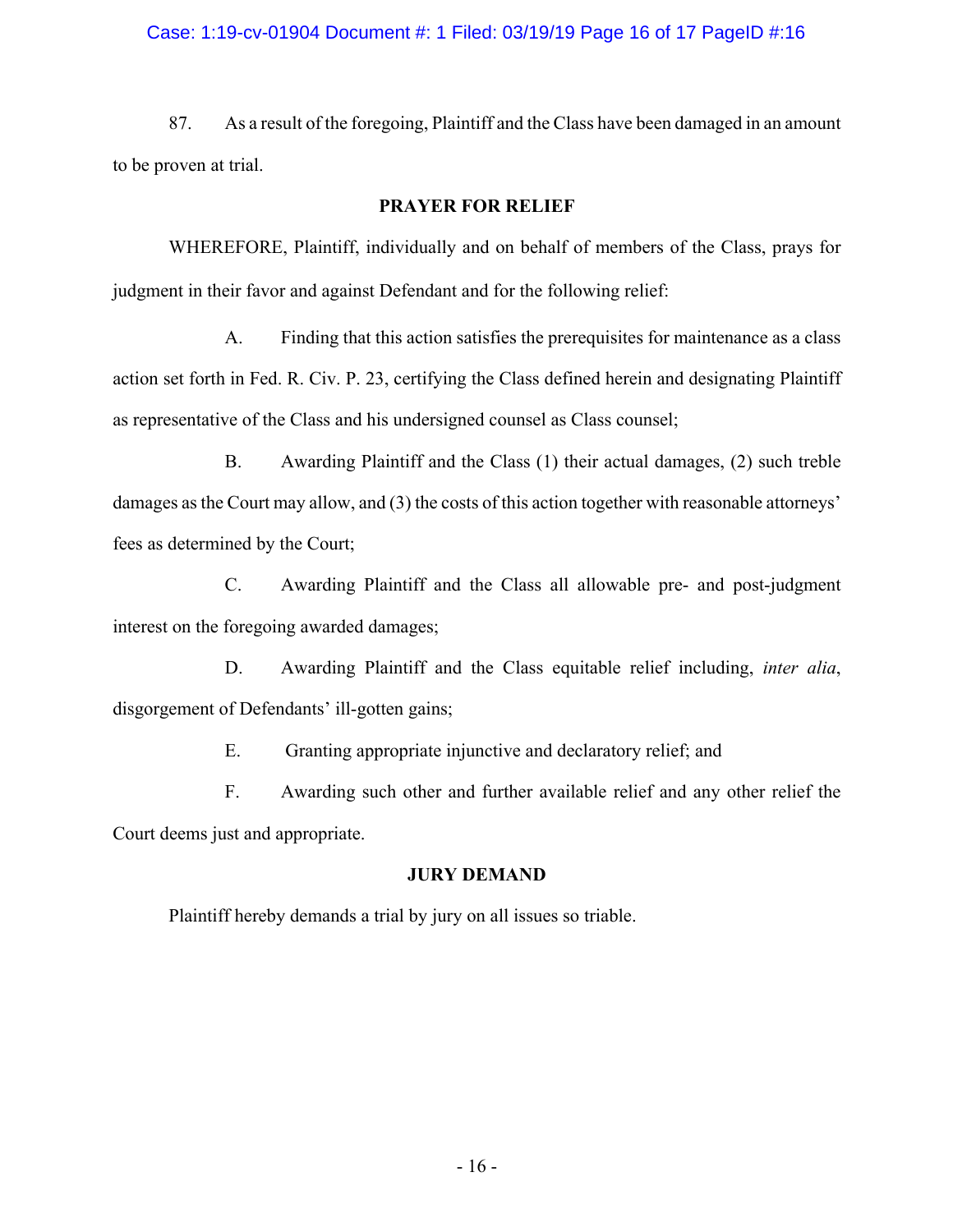## Case: 1:19-cv-01904 Document #: 1 Filed: 03/19/19 Page 16 of 17 PageID #:16

87. As a result of the foregoing, Plaintiff and the Class have been damaged in an amount to be proven at trial.

# **PRAYER FOR RELIEF**

WHEREFORE, Plaintiff, individually and on behalf of members of the Class, prays for judgment in their favor and against Defendant and for the following relief:

A. Finding that this action satisfies the prerequisites for maintenance as a class action set forth in Fed. R. Civ. P. 23, certifying the Class defined herein and designating Plaintiff as representative of the Class and his undersigned counsel as Class counsel;

B. Awarding Plaintiff and the Class (1) their actual damages, (2) such treble damages as the Court may allow, and (3) the costs of this action together with reasonable attorneys' fees as determined by the Court;

C. Awarding Plaintiff and the Class all allowable pre- and post-judgment interest on the foregoing awarded damages;

D. Awarding Plaintiff and the Class equitable relief including, *inter alia*, disgorgement of Defendants' ill-gotten gains;

E. Granting appropriate injunctive and declaratory relief; and

F. Awarding such other and further available relief and any other relief the Court deems just and appropriate.

# **JURY DEMAND**

Plaintiff hereby demands a trial by jury on all issues so triable.